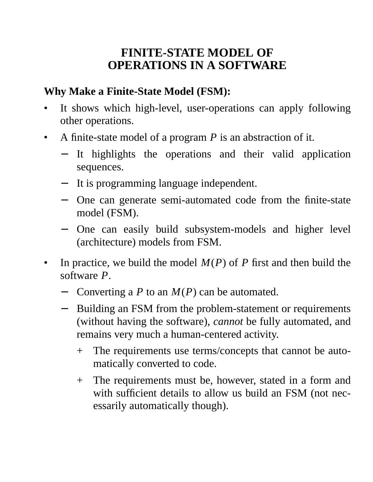### **FINITE-STATE MODEL OF OPERATIONS IN A SOFTWARE**

#### **Why Make a Finite-State Model (FSM):**

- It shows which high-level, user-operations can apply following other operations.
- A finite-state model of a program *P* is an abstraction of it.
	- − It highlights the operations and their valid application sequences.
	- − It is programming language independent.
	- − One can generate semi-automated code from the finite-state model (FSM).
	- − One can easily build subsystem-models and higher level (architecture) models from FSM.
- In practice, we build the model *M*(*P*) of *P* first and then build the software *P*.
	- − Converting a *P* to an *M*(*P*) can be automated.
	- − Building an FSM from the problem-statement or requirements (without having the software), *cannot* be fully automated, and remains very much a human-centered activity.
		- + The requirements use terms/concepts that cannot be automatically converted to code.
		- + The requirements must be, however, stated in a form and with sufficient details to allow us build an FSM (not necessarily automatically though).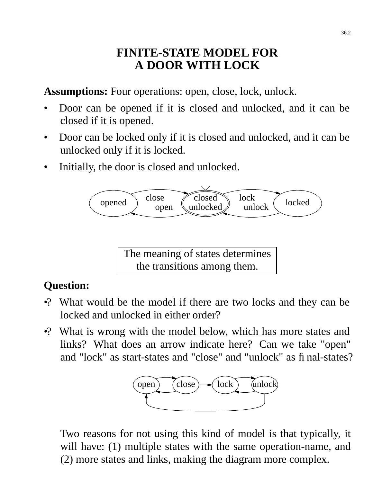### **FINITE-STATE MODEL FOR A DOOR WITH LOCK**

**Assumptions:** Four operations: open, close, lock, unlock.

- Door can be opened if it is closed and unlocked, and it can be closed if it is opened.
- Door can be locked only if it is closed and unlocked, and it can be unlocked only if it is locked.
- Initially, the door is closed and unlocked.



The meaning of states determines the transitions among them.

# **Question:**

- •? What would be the model if there are two locks and they can be locked and unlocked in either order?
- •? What is wrong with the model below, which has more states and links? What does an arrow indicate here? Can we take "open" and "lock" as start-states and "close" and "unlock" as final-states?



Two reasons for not using this kind of model is that typically, it will have: (1) multiple states with the same operation-name, and (2) more states and links, making the diagram more complex.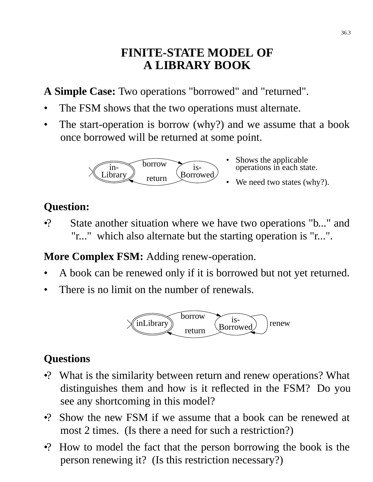### **FINITE-STATE MODEL OF A LIBRARY BOOK**

A **Simple Case:** Two operations "borrowed" and "returned".

- The FSM shows that the two operations must alternate.
- The start-operation is borrow (why?) and we assume that a book once borrowed will be returned at some point.

•



- Shows the applicable operations in each state.
- We need two states (why?).

# **Question:**

•? State another situation where we have two operations "b..." and "r..." which also alternate but the starting operation is "r...".

**More Complex FSM:** Adding renew-operation.

- A book can be renewed only if it is borrowed but not yet returned.
- There is no limit on the number of renewals.



# **Questions**

- •? What is the similarity between return and renew operations? What distinguishes them and how is it reflected in the FSM? Do you see any shortcoming in this model?
- •? Show the new FSM if we assume that a book can be renewed at most 2 times. (Is there a need for such a restriction?)
- •? How to model the fact that the person borrowing the book is the person renewing it? (Is this restriction necessary?)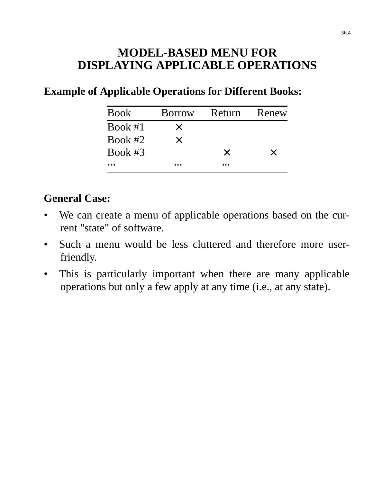### **MODEL-BASED MENU FOR DISPLAYING APPLICABLE OPERATIONS**

#### **Example of Applicable Operations for Different Books:**

| <b>Book</b> | <b>Borrow</b> | Return   | Renew    |
|-------------|---------------|----------|----------|
| Book $#1$   | $\times$      |          |          |
| Book $#2$   | $\times$      |          |          |
| Book $#3$   |               | $\times$ | $\times$ |
|             |               |          |          |

#### **General Case:**

- We can create a menu of applicable operations based on the current "state" of software.
- Such a menu would be less cluttered and therefore more userfriendly.
- This is particularly important when there are many applicable operations but only a few apply at any time (i.e., at any state).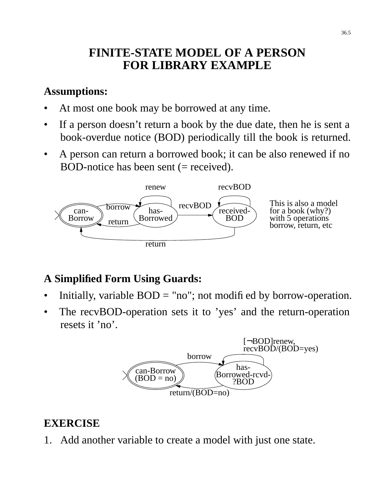## **FINITE-STATE MODEL OF A PERSON FOR LIBRARY EXAMPLE**

#### **Assumptions:**

- At most one book may be borrowed at any time.
- If a person doesn't return a book by the due date, then he is sent a book-overdue notice (BOD) periodically till the book is returned.
- A person can return a borrowed book; it can be also renewed if no BOD-notice has been sent  $(=$  received).



### **A Simplified Form Using Guards:**

- Initially, variable  $BOD = "no";$  not modified by borrow-operation.
- The recvBOD-operation sets it to 'yes' and the return-operation resets it 'no'.



#### **EXERCISE**

1. Add another variable to create a model with just one state.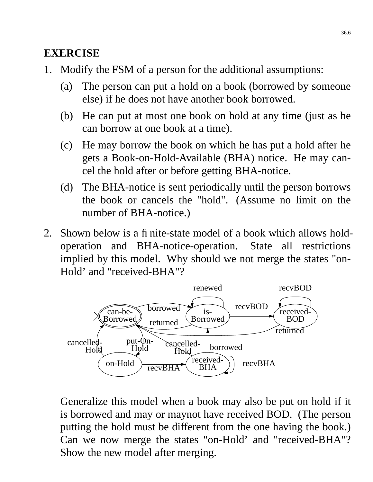#### **EXERCISE**

- 1. Modify the FSM of a person for the additional assumptions:
	- (a) The person can put a hold on a book (borrowed by someone else) if he does not have another book borrowed.
	- (b) He can put at most one book on hold at any time (just as he can borrow at one book at a time).
	- (c) He may borrow the book on which he has put a hold after he gets a Book-on-Hold-Available (BHA) notice. He may cancel the hold after or before getting BHA-notice.
	- (d) The BHA-notice is sent periodically until the person borrows the book or cancels the "hold". (Assume no limit on the number of BHA-notice.)
- 2. Shown below is a finite-state model of a book which allows holdoperation and BHA-notice-operation. State all restrictions implied by this model. Why should we not merge the states "on-Hold' and "received-BHA"?



Generalize this model when a book may also be put on hold if it is borrowed and may or maynot have received BOD. (The person putting the hold must be different from the one having the book.) Can we now merge the states "on-Hold' and "received-BHA"? Show the new model after merging.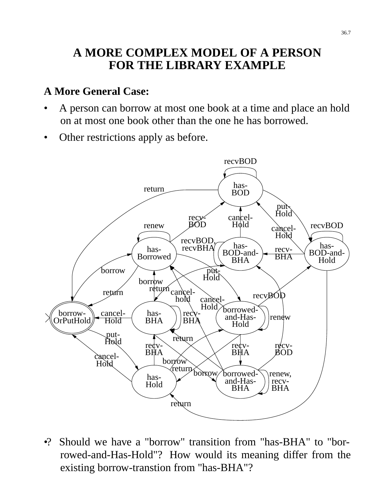## **A MORE COMPLEX MODEL OF A PERSON FOR THE LIBRARY EXAMPLE**

#### **A More General Case:**

- A person can borrow at most one book at a time and place an hold on at most one book other than the one he has borrowed.
- Other restrictions apply as before.



•? Should we have a "borrow" transition from "has-BHA" to "borrowed-and-Has-Hold"? How would its meaning differ from the existing borrow-transtion from "has-BHA"?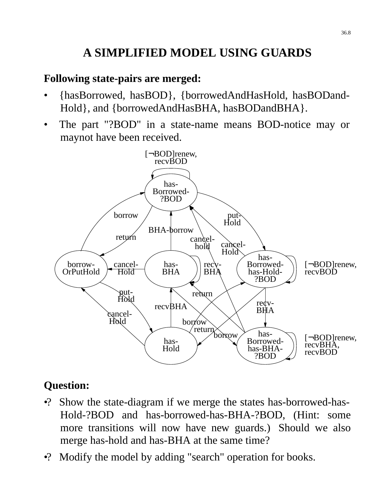# **A SIMPLIFIED MODEL USING GUARDS**

#### **Following state-pairs are merged:**

- {hasBorrowed, hasBOD}, {borrowedAndHasHold, hasBODand-Hold}, and {borrowedAndHasBHA, hasBODandBHA}.
- The part "?BOD" in a state-name means BOD-notice may or maynot have been received.



#### **Question:**

- •? Show the state-diagram if we merge the states has-borrowed-has-Hold-?BOD and has-borrowed-has-BHA-?BOD, (Hint: some more transitions will now have new guards.) Should we also merge has-hold and has-BHA at the same time?
- •? Modify the model by adding "search" operation for books.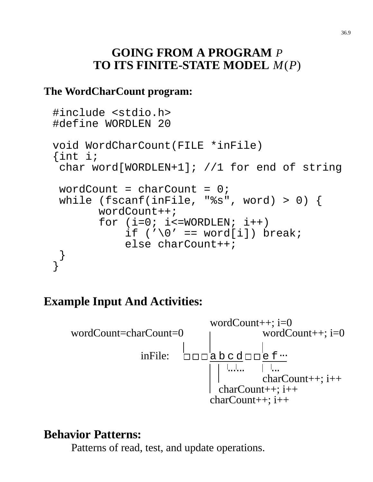### **GOING FROM A PROGRAM** *P* **TO ITS FINITE-STATE MODEL** *M*(*P*)

#### **The WordCharCount program:**

```
#include <stdio.h>
#define WORDLEN 20
void WordCharCount(FILE *inFile)
{int i;
 char word[WORDLEN+1]; //1 for end of string
 wordCount = charCount = 0;
 while (fscanf(inFile, "%s", word) > 0) {
       wordCount++;
       for (i=0; i<=WORDLEN; i++)if ('\0' == word[i]) break;
           else charCount++;
 }
}
```
# **Example Input And Activities:**



### **Behavior Patterns:**

Patterns of read, test, and update operations.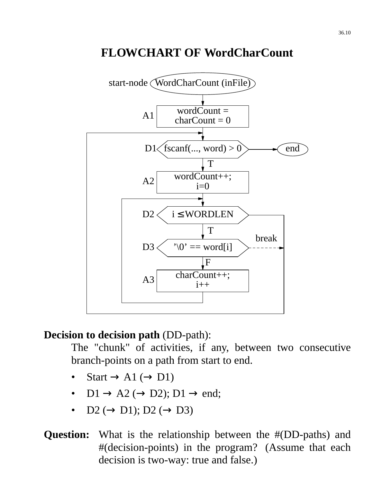## **FLOWCHART OF WordCharCount**



#### **Decision to decision path** (DD-path):

The "chunk" of activities, if any, between two consecutive branch-points on a path from start to end.

- Start  $\rightarrow$  A1 ( $\rightarrow$  D1)
- $DI \rightarrow A2 \ (\rightarrow D2)$ ;  $DI \rightarrow end$ ;
- D2  $(\rightarrow D1)$ ; D2  $(\rightarrow D3)$

#### **Question:** What is the relationship between the #(DD-paths) and #(decision-points) in the program? (Assume that each decision is two-way: true and false.)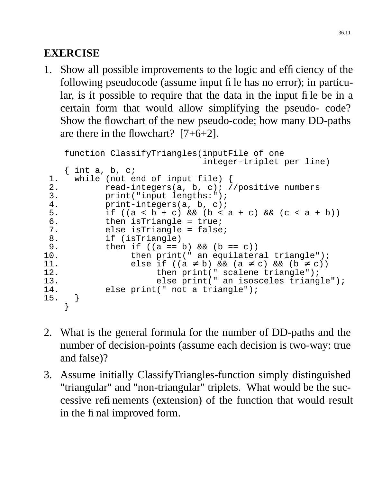### **EXERCISE**

1. Show all possible improvements to the logic and efficiency of the following pseudocode (assume input file has no error); in particular, is it possible to require that the data in the input file be in a certain form that would allow simplifying the pseudo- code? Show the flowchart of the new pseudo-code; how many DD-paths are there in the flowchart? [7+6+2].

```
function ClassifyTriangles(inputFile of one
                               integer-triplet per line)
    \{ int a, b, c;
 1. while (not end of input file) {
 2. read-integers(a, b, c); //positive numbers
 3. print("input lengths:");
 4. print-integers(a, b, c);
 5. if ((a < b + c) \&(b < a + c) \&(c < a + b))6. then isTriangle = true;<br>7. else isTriangle = false
           else isTriangle = false;
 8. if (isTriangle)
9. then if ((a == b) \& (b == c))<br>10. then print(" an equilater
                then print(" an equilateral triangle");
11. else if ((a ≠ b) && (a ≠ c) && (b ≠ c))<br>12. then print(" scalene triangle");
12. then print(" scalene triangle");
13. else print(" an isosceles triangle");
14. else print(" not a triangle");
15. }
    }
```
- 2. What is the general formula for the number of DD-paths and the number of decision-points (assume each decision is two-way: true and false)?
- 3. Assume initially ClassifyTriangles-function simply distinguished "triangular" and "non-triangular" triplets. What would be the successive refinements (extension) of the function that would result in the final improved form.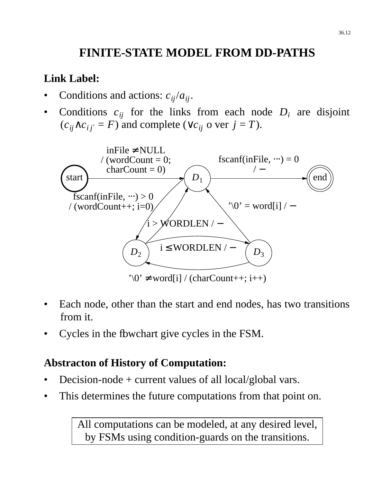# **FINITE-STATE MODEL FROM DD-PATHS**

#### **Link Label:**

- Conditions and actions:  $c_{ij}/a_{ij}$ .
- Conditions  $c_{ij}$  for the links from each node  $D_i$  are disjoint  $(c_{ij} \wedge c_{ij'} = F)$  and complete ( $\vee c_{ij}$  o ver  $j = T$ ).



- Each node, other than the start and end nodes, has two transitions from it.
- Cycles in the flowchart give cycles in the FSM.

#### **Abstracton of History of Computation:**

- Decision-node  $+$  current values of all local/global vars.
- This determines the future computations from that point on.

All computations can be modeled, at any desired level, by FSMs using condition-guards on the transitions.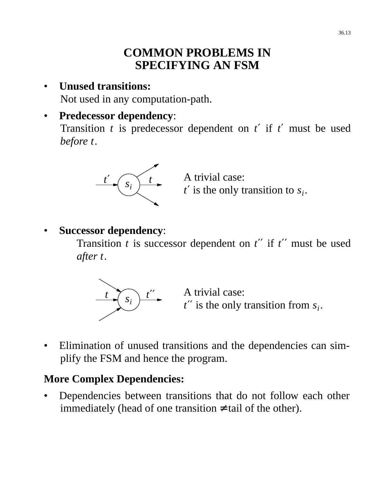### **COMMON PROBLEMS IN SPECIFYING AN FSM**

• **Unused transitions:** Not used in any computation-path.

#### • **Predecessor dependency**:

Transition *t* is predecessor dependent on *t*′ if *t*′ must be used *before t*.



A trivial case: *t*′ is the only transition to *s<sup>i</sup>* .

• **Successor dependency**:

Transition  $t$  is successor dependent on  $t'$  if  $t''$  must be used *after t*.



 $t \rightarrow \frac{t}{s}$  *t''* A trivial case: *t*′′ is the only transition from *s<sup>i</sup>* .

• Elimination of unused transitions and the dependencies can simplify the FSM and hence the program.

#### **More Complex Dependencies:**

• Dependencies between transitions that do not follow each other immediately (head of one transition  $\neq$  tail of the other).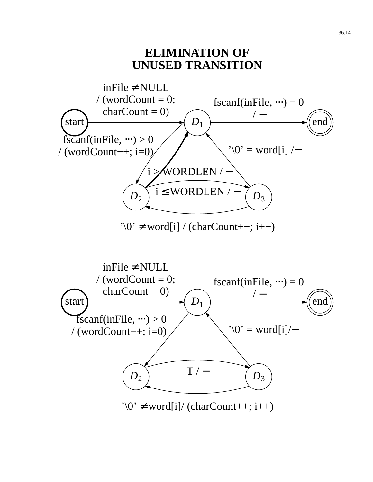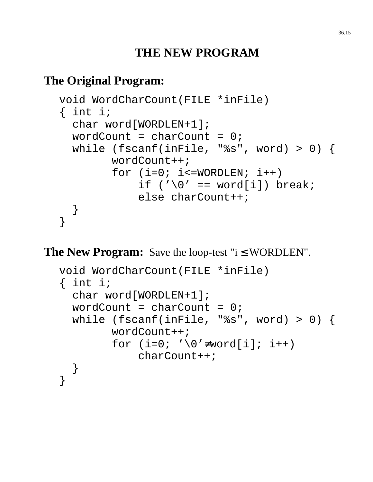# **THE NEW PROGRAM**

# **The Original Program:**

```
void WordCharCount(FILE *inFile)
\{ int i;
  char word[WORDLEN+1];
  wordCount = charCount = 0;
  while (fscanf(inFile, "%s", word) > 0) {
        wordCount++;
        for (i=0; i<=WORDLEN; i++)if ('\0' == word[i]) break;
            else charCount++;
 }
}
```
**The New Program:** Save the loop-test " $i \leq WORDLEN$ ".

```
void WordCharCount(FILE *inFile)
\{ int i;
  char word[WORDLEN+1];
  wordCount = charCount = 0;
  while (fscanf(inFile, "%s", word) > 0) {
        wordCount++;
        for (i=0; ' \ 0' \neq word[i]; i++)charCount++;
  }
}
```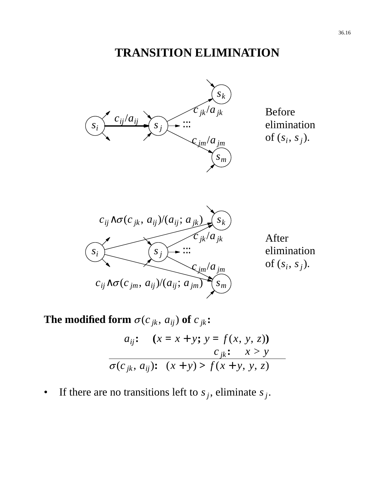# **TRANSITION ELIMINATION**



Before elimination of  $(s_i, s_j)$ .



After elimination of  $(s_i, s_j)$ .

**The modified form**  $\sigma$ ( $c_{jk}$ ,  $a_{ij}$ ) of  $c_{jk}$ :

$$
a_{ij}: (x = x + y; y = f(x, y, z))
$$
  

$$
c_{jk}: x > y
$$
  

$$
\sigma(c_{jk}, a_{ij}): (x + y) > f(x + y, y, z)
$$

• If there are no transitions left to  $s_j$ , eliminate  $s_j$ .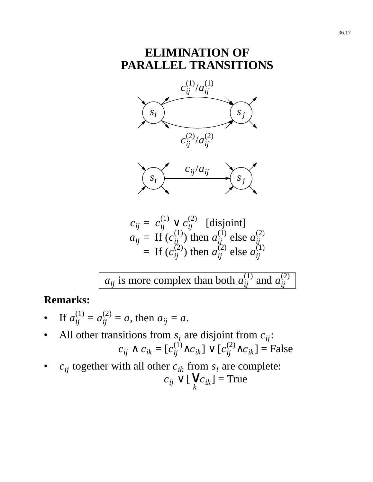#### **ELIMINATION OF PARALLEL TRANSITIONS**





 $c_{ij} = c_{ij}^{(1)} \vee c_{ij}^{(2)}$  [disjoint]  $a_{ij}$  = If  $(c_{ij}^{(1)})$  then  $a_{ij}^{(1)}$  else  $a_{ij}^{(2)}$ *ij*  $=$  If  $(c_{ij}^{(2)})$  then  $a_{ij}^{(2)}$  else  $a_{ij}^{(1)}$ *ij*

 $a_{ij}$  is more complex than both  $a_{ij}^{(1)}$  and  $a_{ij}^{(2)}$ *ij*

#### **Remarks:**

- If  $a_{ij}^{(1)} = a_{ij}^{(2)} = a$ , then  $a_{ij} = a$ .
- All other transitions from  $s_i$  are disjoint from  $c_{ij}$ :  $c_{ij}$  ∧  $c_{ik}$  = [ $c_{ij}^{(1)}$ ∧ $c_{ik}$ ]  $\vee$  [ $c_{ij}^{(2)}$ ∧ $c_{ik}$ ] = False
- $c_{ij}$  together with all other  $c_{ik}$  from  $s_i$  are complete: *cij* ∨ [ *k*  $\left[ √ c_{ik} \right]$  = True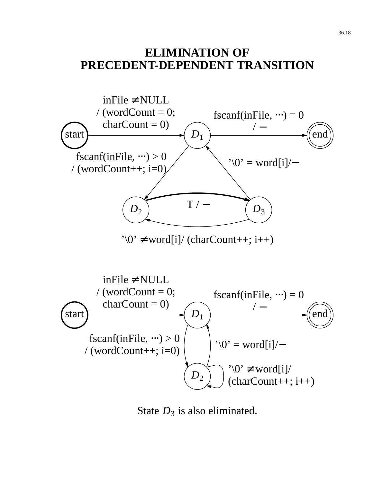#### **ELIMINATION OF PRECEDENT-DEPENDENT TRANSITION**



State  $D_3$  is also eliminated.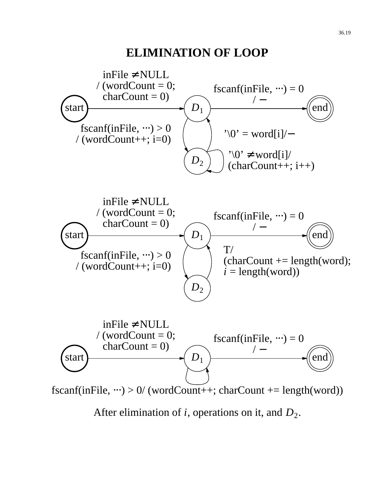#### **ELIMINATION OF LOOP**

36.19

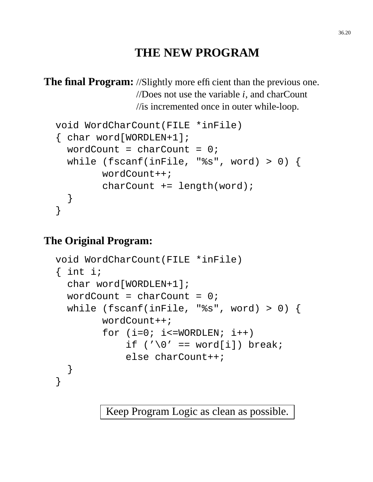## **THE NEW PROGRAM**

**The final Program:** //Slightly more efficient than the previous one. //Does not use the variable *i*, and charCount //is incremented once in outer while-loop.

```
void WordCharCount(FILE *inFile)
{ char word[WORDLEN+1];
  wordCount = charCount = 0;
  while (fscanf(inFile, "%s", word) > 0) {
        wordCount++;
        charCount += length(word);
 }
}
```
#### **The Original Program:**

```
void WordCharCount(FILE *inFile)
{ int i;
  char word[WORDLEN+1];
  wordCount = charCount = 0;
  while (fscanf(inFile, "%s", word) > 0) {
        wordCount++;
        for (i=0; i<=WORDLEN; i++)if ('\0' == word[i]) break;
            else charCount++;
 }
}
```
Keep Program Logic as clean as possible.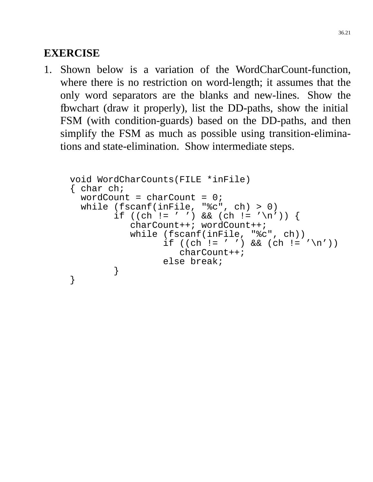#### **EXERCISE**

1. Shown below is a variation of the WordCharCount-function, where there is no restriction on word-length; it assumes that the only word separators are the blanks and new-lines. Show the flowchart (draw it properly), list the DD-paths, show the initial FSM (with condition-guards) based on the DD-paths, and then simplify the FSM as much as possible using transition-eliminations and state-elimination. Show intermediate steps.

```
void WordCharCounts(FILE *inFile)
{ char ch;
  wordCount = charCount = 0;
 while (fscanf(intFile, "sc", ch) > 0)if ((ch != ' ') && (ch != '\n')) {
           charCount++; wordCount++;
           while (fscanf(inFile, "%c", ch))
                 if ((ch != ' ' ) & (ch != ' \ncharCount++;
                 else break;
        }
}
```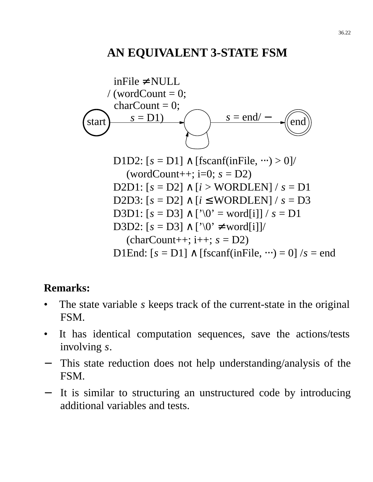## **AN EQUIVALENT 3-STATE FSM**



#### **Remarks:**

- The state variable *s* keeps track of the current-state in the original FSM.
- It has identical computation sequences, save the actions/tests involving *s*.
- This state reduction does not help understanding/analysis of the FSM.
- It is similar to structuring an unstructured code by introducing additional variables and tests.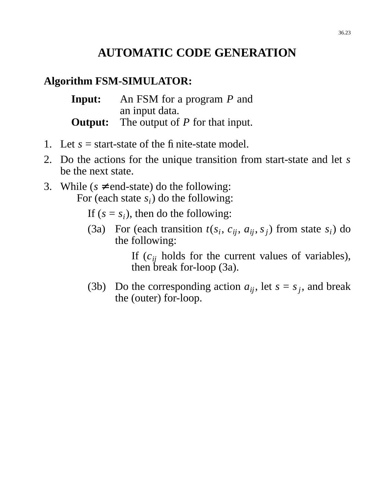# **AUTOMATIC CODE GENERATION**

#### **Algorithm FSM-SIMULATOR:**

| Input:  | An FSM for a program $P$ and      |
|---------|-----------------------------------|
|         | an input data.                    |
| Output: | The output of $P$ for that input. |

- 1. Let  $s =$  start-state of the finite-state model.
- 2. Do the actions for the unique transition from start-state and let *s* be the next state.
- 3. While ( $s \neq end$ -state) do the following: For (each state  $s_i$ ) do the following:

If  $(s = s_i)$ , then do the following:

(3a) For (each transition  $t(s_i, c_{ij}, a_{ij}, s_j)$  from state  $s_i$ ) do the following:

> If  $(c_{ij}$  holds for the current values of variables), then break for-loop (3a).

(3b) Do the corresponding action  $a_{ij}$ , let  $s = s_j$ , and break the (outer) for-loop.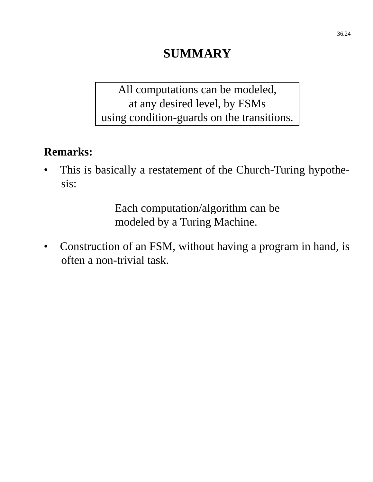# **SUMMARY**

All computations can be modeled, at any desired level, by FSMs using condition-guards on the transitions.

### **Remarks:**

This is basically a restatement of the Church-Turing hypothesis:

> Each computation/algorithm can be modeled by a Turing Machine.

• Construction of an FSM, without having a program in hand, is often a non-trivial task.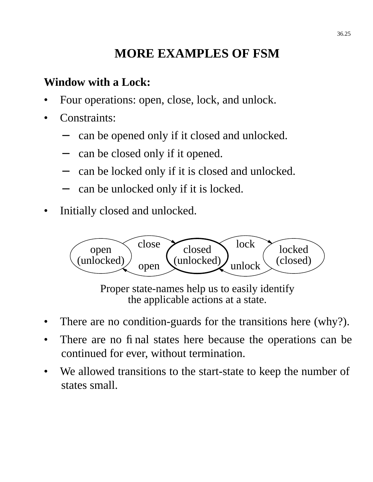# **MORE EXAMPLES OF FSM**

# **Window with a Lock:**

- Four operations: open, close, lock, and unlock.
- Constraints:
	- can be opened only if it closed and unlocked.
	- can be closed only if it opened.
	- can be locked only if it is closed and unlocked.
	- can be unlocked only if it is locked.
- Initially closed and unlocked.



Proper state-names help us to easily identify the applicable actions at a state.

- There are no condition-guards for the transitions here (why?).
- There are no final states here because the operations can be continued for ever, without termination.
- We allowed transitions to the start-state to keep the number of states small.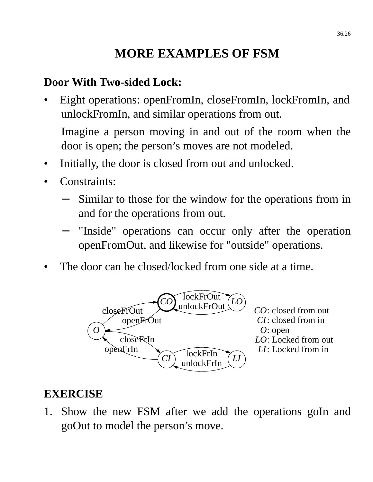# **MORE EXAMPLES OF FSM**

### **Door With Two-sided Lock:**

Eight operations: openFromIn, closeFromIn, lockFromIn, and unlockFromIn, and similar operations from out.

Imagine a person moving in and out of the room when the door is open; the person's moves are not modeled.

- Initially, the door is closed from out and unlocked.
- Constraints:
	- Similar to those for the window for the operations from in and for the operations from out.
	- "Inside" operations can occur only after the operation openFromOut, and likewise for "outside" operations.
- The door can be closed/locked from one side at a time.



#### **EXERCISE**

1. Show the new FSM after we add the operations goIn and goOut to model the person's move.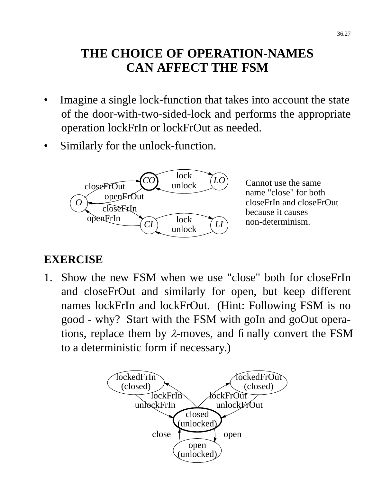# **THE CHOICE OF OPERATION-NAMES CAN AFFECT THE FSM**

- Imagine a single lock-function that takes into account the state of the door-with-two-sided-lock and performs the appropriate operation lockFrIn or lockFrOut as needed.
- Similarly for the unlock-function.



Cannot use the same name "close" for both closeFrIn and closeFrOut because it causes non-determinism.

#### **EXERCISE**

1. Show the new FSM when we use "close" both for closeFrIn and closeFrOut and similarly for open, but keep different names lockFrIn and lockFrOut. (Hint: Following FSM is no good - why? Start with the FSM with goIn and goOut operations, replace them by  $\lambda$ -moves, and finally convert the FSM to a deterministic form if necessary.)

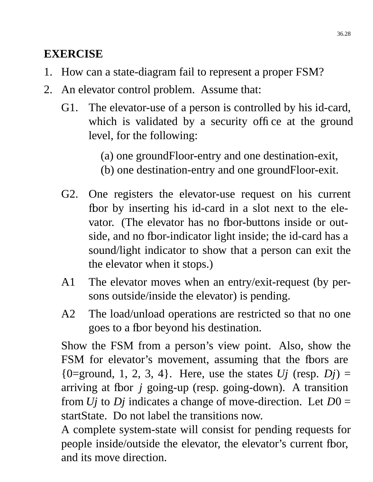# **EXERCISE**

- 1. How can a state-diagram fail to represent a proper FSM?
- 2. An elevator control problem. Assume that:
	- G1. The elevator-use of a person is controlled by his id-card, which is validated by a security office at the ground level, for the following:
		- (a) one groundFloor-entry and one destination-exit,
		- (b) one destination-entry and one groundFloor-exit.
	- G2. One registers the elevator-use request on his current fbor by inserting his id-card in a slot next to the elevator. (The elevator has no fbor-buttons inside or outside, and no fbor-indicator light inside; the id-card has a sound/light indicator to show that a person can exit the the elevator when it stops.)
	- A1 The elevator moves when an entry/exit-request (by persons outside/inside the elevator) is pending.
	- A2 The load/unload operations are restricted so that no one goes to a floor beyond his destination.

Show the FSM from a person's view point. Also, show the FSM for elevator's movement, assuming that the fbors are  ${0=}$ ground, 1, 2, 3, 4 $}$ . Here, use the states *Uj* (resp. *Dj*) = arriving at fbor *j* going-up (resp. going-down). A transition from *Uj* to *Dj* indicates a change of move-direction. Let *D*0 = startState. Do not label the transitions now.

A complete system-state will consist for pending requests for people inside/outside the elevator, the elevator's current fbor, and its move direction.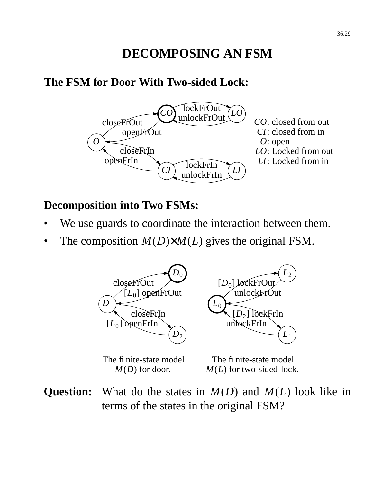# **DECOMPOSING AN FSM**

#### **The FSM for Door With Two-sided Lock:**



#### **Decomposition into Two FSMs:**

- We use guards to coordinate the interaction between them.
- The composition  $M(D) \times M(L)$  gives the original FSM.



The finite-state model *M*(*D*) for door.

The finite-state model *M*(*L*) for two-sided-lock.

**Question:** What do the states in *M*(*D*) and *M*(*L*) look like in terms of the states in the original FSM?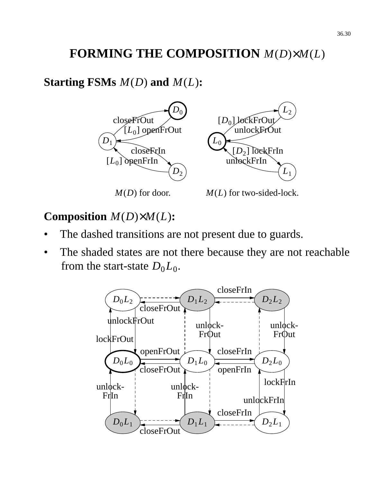# **FORMING THE COMPOSITION** *M*(*D*)×*M*(*L*)

# **Starting FSMs** *M*(*D*) **and** *M*(*L*)**:**



# **Composition** *M*(*D*)×*M*(*L*)**:**

- The dashed transitions are not present due to guards.
- The shaded states are not there because they are not reachable from the start-state  $D_0L_0$ .

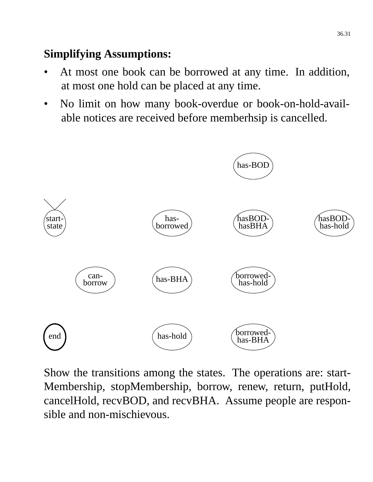# **Simplifying Assumptions:**

- At most one book can be borrowed at any time. In addition, at most one hold can be placed at any time.
- No limit on how many book-overdue or book-on-hold-available notices are received before memberhsip is cancelled.



Show the transitions among the states. The operations are: start-Membership, stopMembership, borrow, renew, return, putHold, cancelHold, recvBOD, and recvBHA. Assume people are responsible and non-mischievous.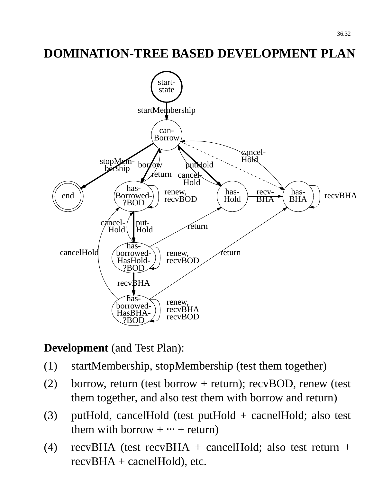# **DOMINATION-TREE BASED DEVELOPMENT PLAN**



#### **Development** (and Test Plan):

- (1) startMembership, stopMembership (test them together)
- (2) borrow, return (test borrow + return); recvBOD, renew (test them together, and also test them with borrow and return)
- (3) putHold, cancelHold (test putHold + cacnelHold; also test them with borrow  $+ \cdots +$  return)
- (4) recvBHA (test recvBHA + cancelHold; also test return + recvBHA + cacnelHold), etc.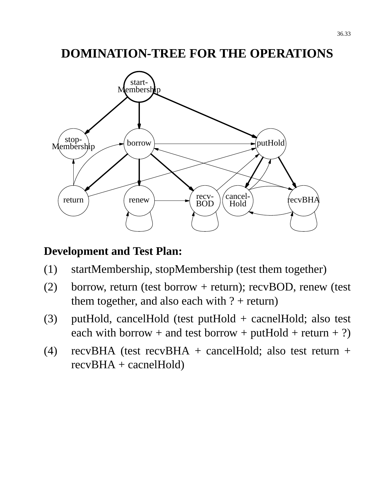### **DOMINATION-TREE FOR THE OPERATIONS**



#### **Development and Test Plan:**

- (1) startMembership, stopMembership (test them together)
- (2) borrow, return (test borrow + return); recvBOD, renew (test them together, and also each with  $? + return$ )
- (3) putHold, cancelHold (test putHold + cacnelHold; also test each with borrow + and test borrow + putHold + return + ?)
- (4) recvBHA (test recvBHA + cancelHold; also test return + recvBHA + cacnelHold)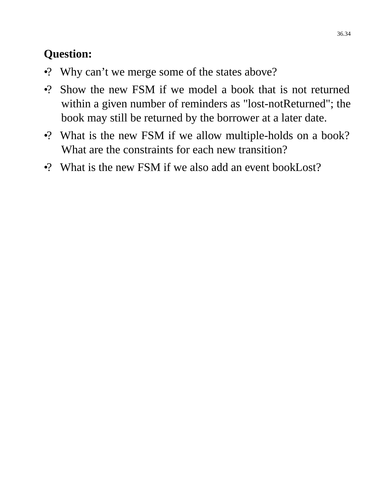# **Question:**

- •? Why can't we merge some of the states above?
- •? Show the new FSM if we model a book that is not returned within a given number of reminders as "lost-notReturned"; the book may still be returned by the borrower at a later date.
- •? What is the new FSM if we allow multiple-holds on a book? What are the constraints for each new transition?
- •? What is the new FSM if we also add an event bookLost?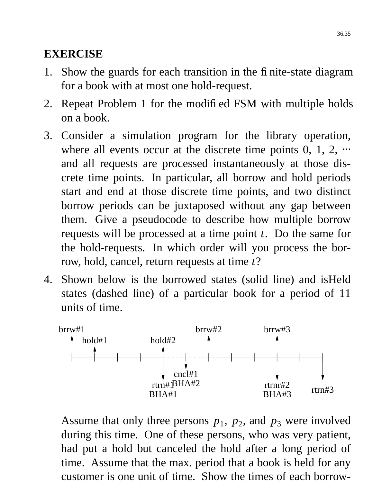### **EXERCISE**

- 1. Show the guards for each transition in the finite-state diagram for a book with at most one hold-request.
- 2. Repeat Problem 1 for the modified FSM with multiple holds on a book.
- 3. Consider a simulation program for the library operation, where all events occur at the discrete time points  $0, 1, 2, \cdots$ and all requests are processed instantaneously at those discrete time points. In particular, all borrow and hold periods start and end at those discrete time points, and two distinct borrow periods can be juxtaposed without any gap between them. Give a pseudocode to describe how multiple borrow requests will be processed at a time point *t*. Do the same for the hold-requests. In which order will you process the borrow, hold, cancel, return requests at time *t*?
- 4. Shown below is the borrowed states (solid line) and isHeld states (dashed line) of a particular book for a period of 11 units of time.



Assume that only three persons  $p_1$ ,  $p_2$ , and  $p_3$  were involved during this time. One of these persons, who was very patient, had put a hold but canceled the hold after a long period of time. Assume that the max. period that a book is held for any customer is one unit of time. Show the times of each borrow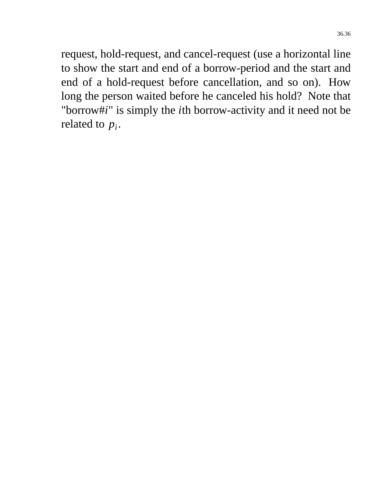request, hold-request, and cancel-request (use a horizontal line to show the start and end of a borrow-period and the start and end of a hold-request before cancellation, and so on). How long the person waited before he canceled his hold? Note that "borrow#*i*" is simply the *i*th borrow-activity and it need not be related to *p<sup>i</sup>* .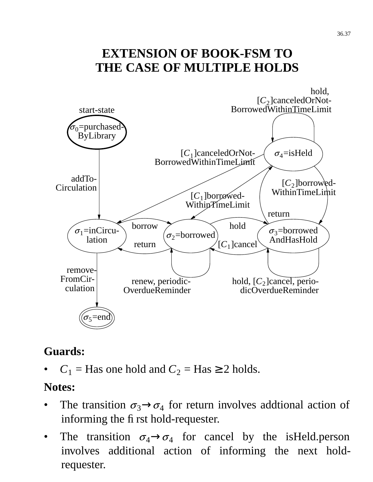# **EXTENSION OF BOOK-FSM TO THE CASE OF MULTIPLE HOLDS**



### **Guards:**

 $C_1$  = Has one hold and  $C_2$  = Has  $\geq$  2 holds.

#### **Notes:**

- The transition  $\sigma_3 \rightarrow \sigma_4$  for return involves addtional action of informing the first hold-requester.
- The transition  $\sigma_4 \rightarrow \sigma_4$  for cancel by the isHeld.person involves additional action of informing the next holdrequester.